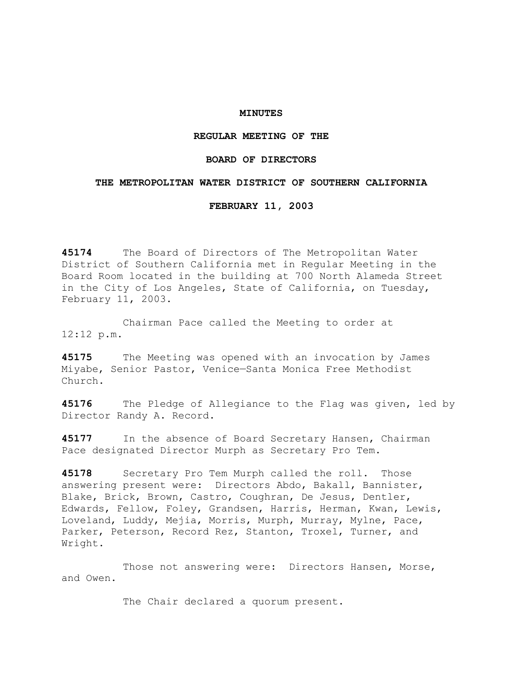### **MINUTES**

## **REGULAR MEETING OF THE**

## **BOARD OF DIRECTORS**

### **THE METROPOLITAN WATER DISTRICT OF SOUTHERN CALIFORNIA**

### **FEBRUARY 11, 2003**

**45174** The Board of Directors of The Metropolitan Water District of Southern California met in Regular Meeting in the Board Room located in the building at 700 North Alameda Street in the City of Los Angeles, State of California, on Tuesday, February 11, 2003.

 Chairman Pace called the Meeting to order at 12:12 p.m.

**45175** The Meeting was opened with an invocation by James Miyabe, Senior Pastor, Venice—Santa Monica Free Methodist Church.

**45176** The Pledge of Allegiance to the Flag was given, led by Director Randy A. Record.

**45177** In the absence of Board Secretary Hansen, Chairman Pace designated Director Murph as Secretary Pro Tem.

**45178** Secretary Pro Tem Murph called the roll. Those answering present were: Directors Abdo, Bakall, Bannister, Blake, Brick, Brown, Castro, Coughran, De Jesus, Dentler, Edwards, Fellow, Foley, Grandsen, Harris, Herman, Kwan, Lewis, Loveland, Luddy, Mejia, Morris, Murph, Murray, Mylne, Pace, Parker, Peterson, Record Rez, Stanton, Troxel, Turner, and Wright.

 Those not answering were: Directors Hansen, Morse, and Owen.

The Chair declared a quorum present.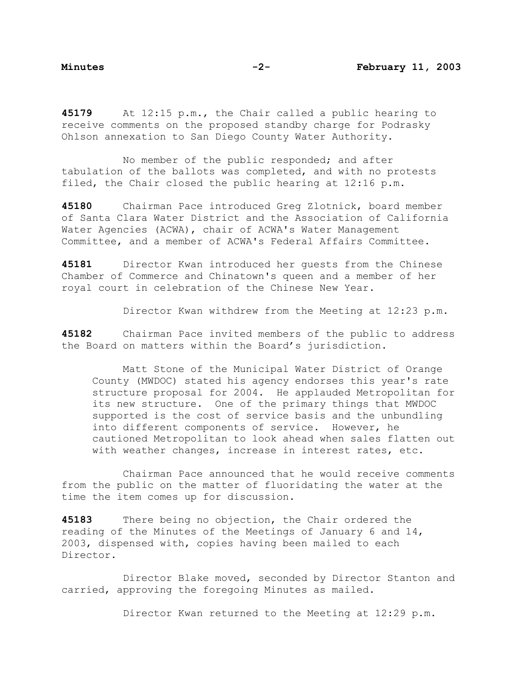**45179** At 12:15 p.m., the Chair called a public hearing to receive comments on the proposed standby charge for Podrasky Ohlson annexation to San Diego County Water Authority.

 No member of the public responded; and after tabulation of the ballots was completed, and with no protests filed, the Chair closed the public hearing at 12:16 p.m.

**45180** Chairman Pace introduced Greg Zlotnick, board member of Santa Clara Water District and the Association of California Water Agencies (ACWA), chair of ACWA's Water Management Committee, and a member of ACWA's Federal Affairs Committee.

**45181** Director Kwan introduced her guests from the Chinese Chamber of Commerce and Chinatown's queen and a member of her royal court in celebration of the Chinese New Year.

Director Kwan withdrew from the Meeting at 12:23 p.m.

**45182** Chairman Pace invited members of the public to address the Board on matters within the Board's jurisdiction.

 Matt Stone of the Municipal Water District of Orange County (MWDOC) stated his agency endorses this year's rate structure proposal for 2004. He applauded Metropolitan for its new structure. One of the primary things that MWDOC supported is the cost of service basis and the unbundling into different components of service. However, he cautioned Metropolitan to look ahead when sales flatten out with weather changes, increase in interest rates, etc.

 Chairman Pace announced that he would receive comments from the public on the matter of fluoridating the water at the time the item comes up for discussion.

**45183** There being no objection, the Chair ordered the reading of the Minutes of the Meetings of January 6 and 14, 2003, dispensed with, copies having been mailed to each Director.

 Director Blake moved, seconded by Director Stanton and carried, approving the foregoing Minutes as mailed.

Director Kwan returned to the Meeting at 12:29 p.m.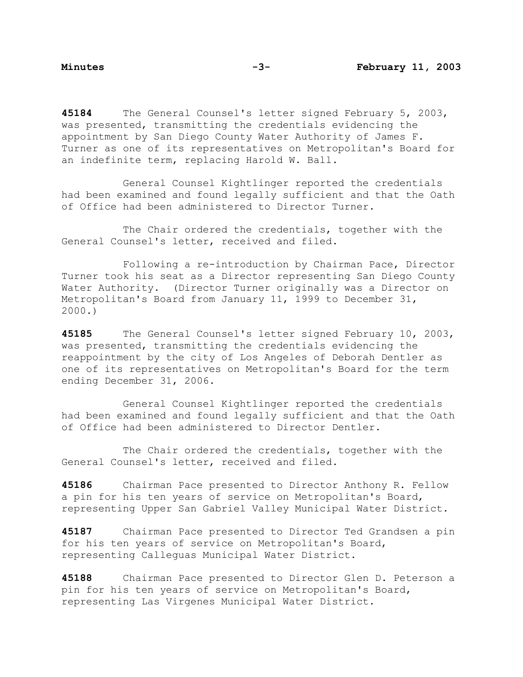**45184** The General Counsel's letter signed February 5, 2003, was presented, transmitting the credentials evidencing the appointment by San Diego County Water Authority of James F. Turner as one of its representatives on Metropolitan's Board for an indefinite term, replacing Harold W. Ball.

 General Counsel Kightlinger reported the credentials had been examined and found legally sufficient and that the Oath of Office had been administered to Director Turner.

 The Chair ordered the credentials, together with the General Counsel's letter, received and filed.

 Following a re-introduction by Chairman Pace, Director Turner took his seat as a Director representing San Diego County Water Authority. (Director Turner originally was a Director on Metropolitan's Board from January 11, 1999 to December 31, 2000.)

**45185** The General Counsel's letter signed February 10, 2003, was presented, transmitting the credentials evidencing the reappointment by the city of Los Angeles of Deborah Dentler as one of its representatives on Metropolitan's Board for the term ending December 31, 2006.

 General Counsel Kightlinger reported the credentials had been examined and found legally sufficient and that the Oath of Office had been administered to Director Dentler.

 The Chair ordered the credentials, together with the General Counsel's letter, received and filed.

**45186** Chairman Pace presented to Director Anthony R. Fellow a pin for his ten years of service on Metropolitan's Board, representing Upper San Gabriel Valley Municipal Water District.

**45187** Chairman Pace presented to Director Ted Grandsen a pin for his ten years of service on Metropolitan's Board, representing Calleguas Municipal Water District.

**45188** Chairman Pace presented to Director Glen D. Peterson a pin for his ten years of service on Metropolitan's Board, representing Las Virgenes Municipal Water District.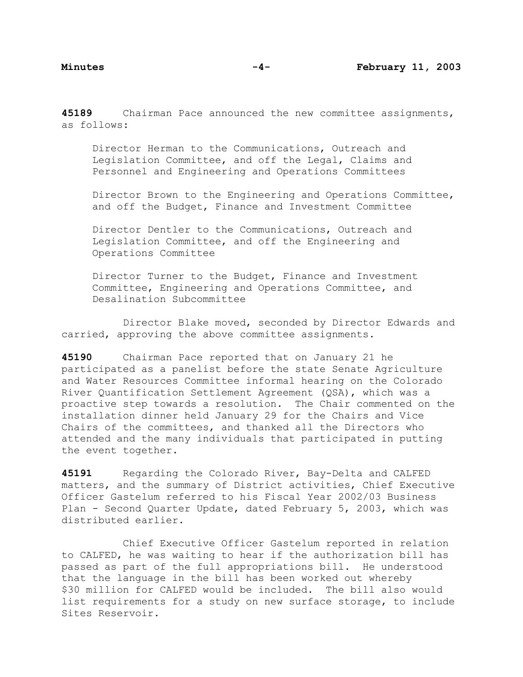**45189** Chairman Pace announced the new committee assignments, as follows:

Director Herman to the Communications, Outreach and Legislation Committee, and off the Legal, Claims and Personnel and Engineering and Operations Committees

Director Brown to the Engineering and Operations Committee, and off the Budget, Finance and Investment Committee

Director Dentler to the Communications, Outreach and Legislation Committee, and off the Engineering and Operations Committee

Director Turner to the Budget, Finance and Investment Committee, Engineering and Operations Committee, and Desalination Subcommittee

 Director Blake moved, seconded by Director Edwards and carried, approving the above committee assignments.

**45190** Chairman Pace reported that on January 21 he participated as a panelist before the state Senate Agriculture and Water Resources Committee informal hearing on the Colorado River Quantification Settlement Agreement (QSA), which was a proactive step towards a resolution. The Chair commented on the installation dinner held January 29 for the Chairs and Vice Chairs of the committees, and thanked all the Directors who attended and the many individuals that participated in putting the event together.

**45191** Regarding the Colorado River, Bay-Delta and CALFED matters, and the summary of District activities, Chief Executive Officer Gastelum referred to his Fiscal Year 2002/03 Business Plan - Second Quarter Update, dated February 5, 2003, which was distributed earlier.

 Chief Executive Officer Gastelum reported in relation to CALFED, he was waiting to hear if the authorization bill has passed as part of the full appropriations bill. He understood that the language in the bill has been worked out whereby \$30 million for CALFED would be included. The bill also would list requirements for a study on new surface storage, to include Sites Reservoir.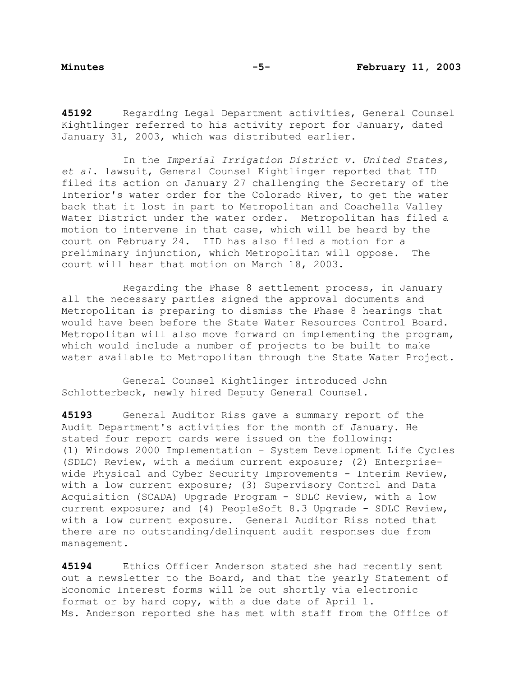**45192** Regarding Legal Department activities, General Counsel Kightlinger referred to his activity report for January, dated January 31, 2003, which was distributed earlier.

 In the *Imperial Irrigation District v. United States, et al*. lawsuit, General Counsel Kightlinger reported that IID filed its action on January 27 challenging the Secretary of the Interior's water order for the Colorado River, to get the water back that it lost in part to Metropolitan and Coachella Valley Water District under the water order. Metropolitan has filed a motion to intervene in that case, which will be heard by the court on February 24. IID has also filed a motion for a preliminary injunction, which Metropolitan will oppose. The court will hear that motion on March 18, 2003.

 Regarding the Phase 8 settlement process, in January all the necessary parties signed the approval documents and Metropolitan is preparing to dismiss the Phase 8 hearings that would have been before the State Water Resources Control Board. Metropolitan will also move forward on implementing the program, which would include a number of projects to be built to make water available to Metropolitan through the State Water Project.

 General Counsel Kightlinger introduced John Schlotterbeck, newly hired Deputy General Counsel.

**45193** General Auditor Riss gave a summary report of the Audit Department's activities for the month of January. He stated four report cards were issued on the following: (1) Windows 2000 Implementation – System Development Life Cycles (SDLC) Review, with a medium current exposure; (2) Enterprisewide Physical and Cyber Security Improvements - Interim Review, with a low current exposure; (3) Supervisory Control and Data Acquisition (SCADA) Upgrade Program - SDLC Review, with a low current exposure; and (4) PeopleSoft 8.3 Upgrade - SDLC Review, with a low current exposure. General Auditor Riss noted that there are no outstanding/delinquent audit responses due from management.

**45194** Ethics Officer Anderson stated she had recently sent out a newsletter to the Board, and that the yearly Statement of Economic Interest forms will be out shortly via electronic format or by hard copy, with a due date of April 1. Ms. Anderson reported she has met with staff from the Office of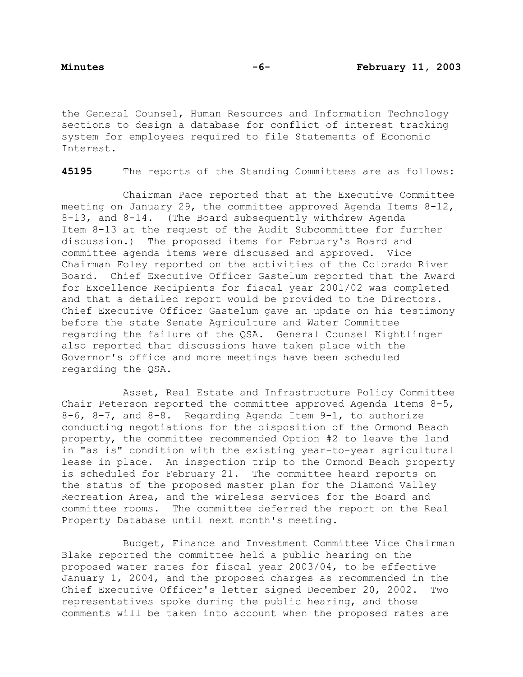the General Counsel, Human Resources and Information Technology sections to design a database for conflict of interest tracking system for employees required to file Statements of Economic Interest.

**45195** The reports of the Standing Committees are as follows:

Chairman Pace reported that at the Executive Committee meeting on January 29, the committee approved Agenda Items 8-12, 8-13, and 8-14. (The Board subsequently withdrew Agenda Item 8-13 at the request of the Audit Subcommittee for further discussion.) The proposed items for February's Board and committee agenda items were discussed and approved. Vice Chairman Foley reported on the activities of the Colorado River Board. Chief Executive Officer Gastelum reported that the Award for Excellence Recipients for fiscal year 2001/02 was completed and that a detailed report would be provided to the Directors. Chief Executive Officer Gastelum gave an update on his testimony before the state Senate Agriculture and Water Committee regarding the failure of the QSA. General Counsel Kightlinger also reported that discussions have taken place with the Governor's office and more meetings have been scheduled regarding the QSA.

 Asset, Real Estate and Infrastructure Policy Committee Chair Peterson reported the committee approved Agenda Items 8-5, 8-6, 8-7, and 8-8. Regarding Agenda Item 9-1, to authorize conducting negotiations for the disposition of the Ormond Beach property, the committee recommended Option #2 to leave the land in "as is" condition with the existing year-to-year agricultural lease in place. An inspection trip to the Ormond Beach property is scheduled for February 21. The committee heard reports on the status of the proposed master plan for the Diamond Valley Recreation Area, and the wireless services for the Board and committee rooms. The committee deferred the report on the Real Property Database until next month's meeting.

 Budget, Finance and Investment Committee Vice Chairman Blake reported the committee held a public hearing on the proposed water rates for fiscal year 2003/04, to be effective January 1, 2004, and the proposed charges as recommended in the Chief Executive Officer's letter signed December 20, 2002. Two representatives spoke during the public hearing, and those comments will be taken into account when the proposed rates are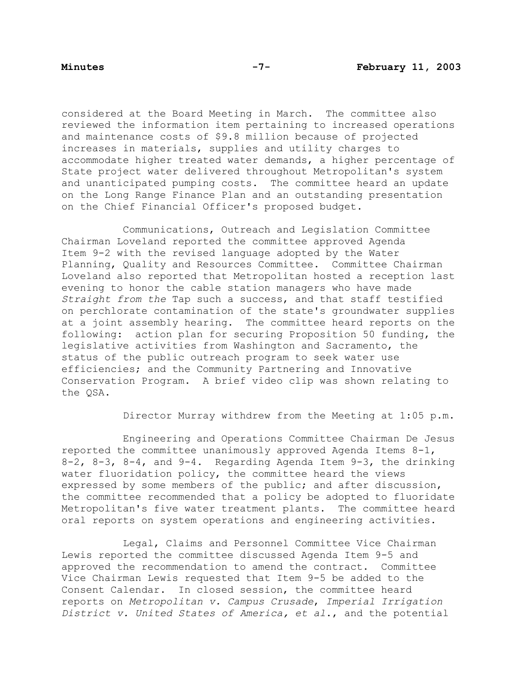considered at the Board Meeting in March. The committee also reviewed the information item pertaining to increased operations and maintenance costs of \$9.8 million because of projected increases in materials, supplies and utility charges to accommodate higher treated water demands, a higher percentage of State project water delivered throughout Metropolitan's system and unanticipated pumping costs. The committee heard an update on the Long Range Finance Plan and an outstanding presentation on the Chief Financial Officer's proposed budget.

 Communications, Outreach and Legislation Committee Chairman Loveland reported the committee approved Agenda Item 9-2 with the revised language adopted by the Water Planning, Quality and Resources Committee. Committee Chairman Loveland also reported that Metropolitan hosted a reception last evening to honor the cable station managers who have made *Straight from the* Tap such a success, and that staff testified on perchlorate contamination of the state's groundwater supplies at a joint assembly hearing. The committee heard reports on the following: action plan for securing Proposition 50 funding, the legislative activities from Washington and Sacramento, the status of the public outreach program to seek water use efficiencies; and the Community Partnering and Innovative Conservation Program. A brief video clip was shown relating to the QSA.

### Director Murray withdrew from the Meeting at 1:05 p.m.

 Engineering and Operations Committee Chairman De Jesus reported the committee unanimously approved Agenda Items 8-1, 8-2, 8-3, 8-4, and 9-4. Regarding Agenda Item 9-3, the drinking water fluoridation policy, the committee heard the views expressed by some members of the public; and after discussion, the committee recommended that a policy be adopted to fluoridate Metropolitan's five water treatment plants. The committee heard oral reports on system operations and engineering activities.

 Legal, Claims and Personnel Committee Vice Chairman Lewis reported the committee discussed Agenda Item 9-5 and approved the recommendation to amend the contract. Committee Vice Chairman Lewis requested that Item 9-5 be added to the Consent Calendar. In closed session, the committee heard reports on *Metropolitan v. Campus Crusade*, *Imperial Irrigation District v. United States of America, et al*., and the potential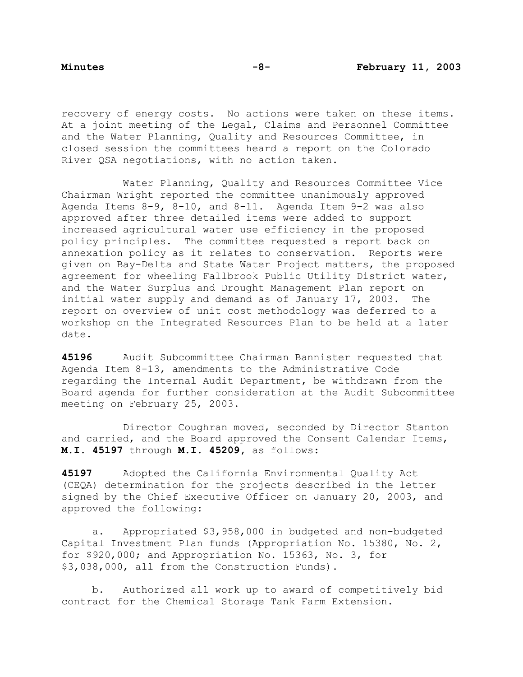recovery of energy costs. No actions were taken on these items. At a joint meeting of the Legal, Claims and Personnel Committee and the Water Planning, Quality and Resources Committee, in closed session the committees heard a report on the Colorado River QSA negotiations, with no action taken.

 Water Planning, Quality and Resources Committee Vice Chairman Wright reported the committee unanimously approved Agenda Items 8-9, 8-10, and 8-11. Agenda Item 9-2 was also approved after three detailed items were added to support increased agricultural water use efficiency in the proposed policy principles. The committee requested a report back on annexation policy as it relates to conservation. Reports were given on Bay-Delta and State Water Project matters, the proposed agreement for wheeling Fallbrook Public Utility District water, and the Water Surplus and Drought Management Plan report on initial water supply and demand as of January 17, 2003. The report on overview of unit cost methodology was deferred to a workshop on the Integrated Resources Plan to be held at a later date.

**45196** Audit Subcommittee Chairman Bannister requested that Agenda Item 8-13, amendments to the Administrative Code regarding the Internal Audit Department, be withdrawn from the Board agenda for further consideration at the Audit Subcommittee meeting on February 25, 2003.

 Director Coughran moved, seconded by Director Stanton and carried, and the Board approved the Consent Calendar Items, **M.I. 45197** through **M.I. 45209,** as follows:

**45197** Adopted the California Environmental Quality Act (CEQA) determination for the projects described in the letter signed by the Chief Executive Officer on January 20, 2003, and approved the following:

a. Appropriated \$3,958,000 in budgeted and non-budgeted Capital Investment Plan funds (Appropriation No. 15380, No. 2, for \$920,000; and Appropriation No. 15363, No. 3, for \$3,038,000, all from the Construction Funds).

b. Authorized all work up to award of competitively bid contract for the Chemical Storage Tank Farm Extension.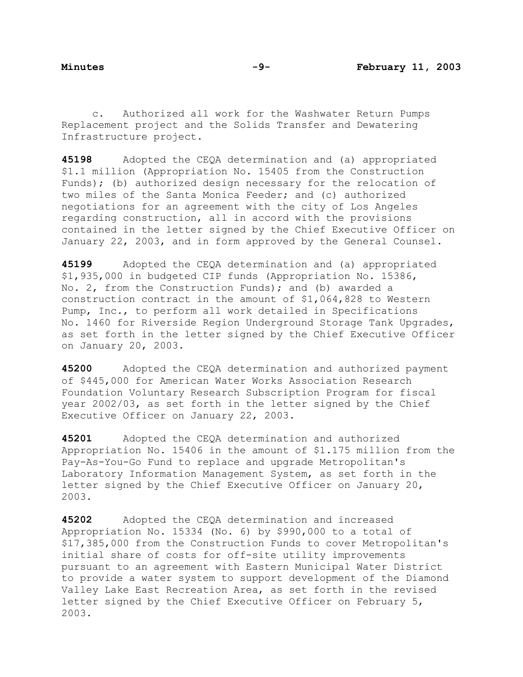c. Authorized all work for the Washwater Return Pumps Replacement project and the Solids Transfer and Dewatering Infrastructure project.

**45198** Adopted the CEQA determination and (a) appropriated \$1.1 million (Appropriation No. 15405 from the Construction Funds); (b) authorized design necessary for the relocation of two miles of the Santa Monica Feeder; and (c) authorized negotiations for an agreement with the city of Los Angeles regarding construction, all in accord with the provisions contained in the letter signed by the Chief Executive Officer on January 22, 2003, and in form approved by the General Counsel.

**45199** Adopted the CEQA determination and (a) appropriated \$1,935,000 in budgeted CIP funds (Appropriation No. 15386, No. 2, from the Construction Funds); and (b) awarded a construction contract in the amount of \$1,064,828 to Western Pump, Inc., to perform all work detailed in Specifications No. 1460 for Riverside Region Underground Storage Tank Upgrades, as set forth in the letter signed by the Chief Executive Officer on January 20, 2003.

**45200** Adopted the CEQA determination and authorized payment of \$445,000 for American Water Works Association Research Foundation Voluntary Research Subscription Program for fiscal year 2002/03, as set forth in the letter signed by the Chief Executive Officer on January 22, 2003.

**45201** Adopted the CEQA determination and authorized Appropriation No. 15406 in the amount of \$1.175 million from the Pay-As-You-Go Fund to replace and upgrade Metropolitan's Laboratory Information Management System, as set forth in the letter signed by the Chief Executive Officer on January 20, 2003.

**45202** Adopted the CEQA determination and increased Appropriation No. 15334 (No. 6) by \$990,000 to a total of \$17,385,000 from the Construction Funds to cover Metropolitan's initial share of costs for off-site utility improvements pursuant to an agreement with Eastern Municipal Water District to provide a water system to support development of the Diamond Valley Lake East Recreation Area, as set forth in the revised letter signed by the Chief Executive Officer on February 5, 2003.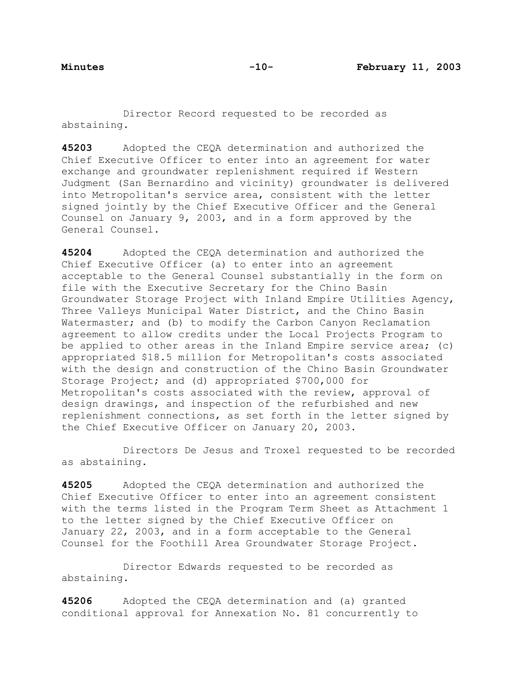Director Record requested to be recorded as abstaining.

**45203** Adopted the CEQA determination and authorized the Chief Executive Officer to enter into an agreement for water exchange and groundwater replenishment required if Western Judgment (San Bernardino and vicinity) groundwater is delivered into Metropolitan's service area, consistent with the letter signed jointly by the Chief Executive Officer and the General Counsel on January 9, 2003, and in a form approved by the General Counsel.

**45204** Adopted the CEQA determination and authorized the Chief Executive Officer (a) to enter into an agreement acceptable to the General Counsel substantially in the form on file with the Executive Secretary for the Chino Basin Groundwater Storage Project with Inland Empire Utilities Agency, Three Valleys Municipal Water District, and the Chino Basin Watermaster; and (b) to modify the Carbon Canyon Reclamation agreement to allow credits under the Local Projects Program to be applied to other areas in the Inland Empire service area; (c) appropriated \$18.5 million for Metropolitan's costs associated with the design and construction of the Chino Basin Groundwater Storage Project; and (d) appropriated \$700,000 for Metropolitan's costs associated with the review, approval of design drawings, and inspection of the refurbished and new replenishment connections, as set forth in the letter signed by the Chief Executive Officer on January 20, 2003.

 Directors De Jesus and Troxel requested to be recorded as abstaining.

**45205** Adopted the CEQA determination and authorized the Chief Executive Officer to enter into an agreement consistent with the terms listed in the Program Term Sheet as Attachment 1 to the letter signed by the Chief Executive Officer on January 22, 2003, and in a form acceptable to the General Counsel for the Foothill Area Groundwater Storage Project.

 Director Edwards requested to be recorded as abstaining.

**45206** Adopted the CEQA determination and (a) granted conditional approval for Annexation No. 81 concurrently to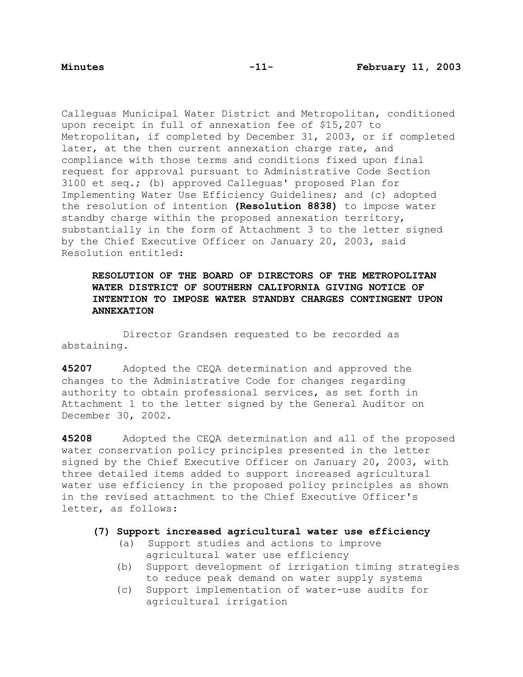Calleguas Municipal Water District and Metropolitan, conditioned upon receipt in full of annexation fee of \$15,207 to Metropolitan, if completed by December 31, 2003, or if completed later, at the then current annexation charge rate, and compliance with those terms and conditions fixed upon final request for approval pursuant to Administrative Code Section 3100 et seq.; (b) approved Calleguas' proposed Plan for Implementing Water Use Efficiency Guidelines; and (c) adopted the resolution of intention **(Resolution 8838)** to impose water standby charge within the proposed annexation territory, substantially in the form of Attachment 3 to the letter signed by the Chief Executive Officer on January 20, 2003, said Resolution entitled:

# **RESOLUTION OF THE BOARD OF DIRECTORS OF THE METROPOLITAN WATER DISTRICT OF SOUTHERN CALIFORNIA GIVING NOTICE OF INTENTION TO IMPOSE WATER STANDBY CHARGES CONTINGENT UPON ANNEXATION**

 Director Grandsen requested to be recorded as abstaining.

**45207** Adopted the CEQA determination and approved the changes to the Administrative Code for changes regarding authority to obtain professional services, as set forth in Attachment 1 to the letter signed by the General Auditor on December 30, 2002.

**45208** Adopted the CEQA determination and all of the proposed water conservation policy principles presented in the letter signed by the Chief Executive Officer on January 20, 2003, with three detailed items added to support increased agricultural water use efficiency in the proposed policy principles as shown in the revised attachment to the Chief Executive Officer's letter, as follows:

# **(7) Support increased agricultural water use efficiency**

- (a) Support studies and actions to improve agricultural water use efficiency
- (b) Support development of irrigation timing strategies to reduce peak demand on water supply systems
- (c) Support implementation of water-use audits for agricultural irrigation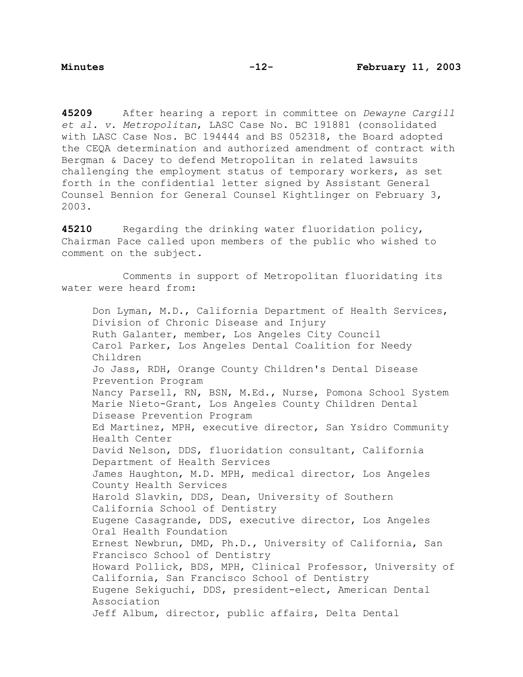**45209** After hearing a report in committee on *Dewayne Cargill et al. v. Metropolitan*, LASC Case No. BC 191881 (consolidated with LASC Case Nos. BC 194444 and BS 052318, the Board adopted the CEQA determination and authorized amendment of contract with Bergman & Dacey to defend Metropolitan in related lawsuits challenging the employment status of temporary workers, as set forth in the confidential letter signed by Assistant General Counsel Bennion for General Counsel Kightlinger on February 3, 2003.

**45210** Regarding the drinking water fluoridation policy, Chairman Pace called upon members of the public who wished to comment on the subject.

 Comments in support of Metropolitan fluoridating its water were heard from:

Don Lyman, M.D., California Department of Health Services, Division of Chronic Disease and Injury Ruth Galanter, member, Los Angeles City Council Carol Parker, Los Angeles Dental Coalition for Needy Children Jo Jass, RDH, Orange County Children's Dental Disease Prevention Program Nancy Parsell, RN, BSN, M.Ed., Nurse, Pomona School System Marie Nieto-Grant, Los Angeles County Children Dental Disease Prevention Program Ed Martinez, MPH, executive director, San Ysidro Community Health Center David Nelson, DDS, fluoridation consultant, California Department of Health Services James Haughton, M.D. MPH, medical director, Los Angeles County Health Services Harold Slavkin, DDS, Dean, University of Southern California School of Dentistry Eugene Casagrande, DDS, executive director, Los Angeles Oral Health Foundation Ernest Newbrun, DMD, Ph.D., University of California, San Francisco School of Dentistry Howard Pollick, BDS, MPH, Clinical Professor, University of California, San Francisco School of Dentistry Eugene Sekiguchi, DDS, president-elect, American Dental Association Jeff Album, director, public affairs, Delta Dental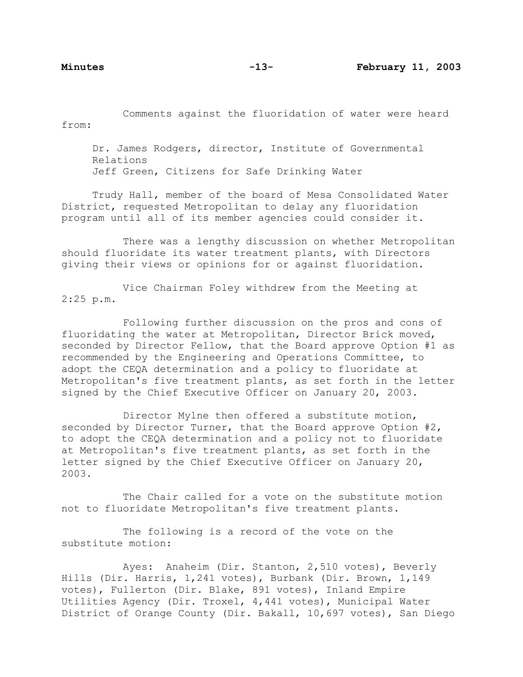Comments against the fluoridation of water were heard from:

Dr. James Rodgers, director, Institute of Governmental Relations Jeff Green, Citizens for Safe Drinking Water

Trudy Hall, member of the board of Mesa Consolidated Water District, requested Metropolitan to delay any fluoridation program until all of its member agencies could consider it.

 There was a lengthy discussion on whether Metropolitan should fluoridate its water treatment plants, with Directors giving their views or opinions for or against fluoridation.

 Vice Chairman Foley withdrew from the Meeting at 2:25 p.m.

 Following further discussion on the pros and cons of fluoridating the water at Metropolitan, Director Brick moved, seconded by Director Fellow, that the Board approve Option #1 as recommended by the Engineering and Operations Committee, to adopt the CEQA determination and a policy to fluoridate at Metropolitan's five treatment plants, as set forth in the letter signed by the Chief Executive Officer on January 20, 2003.

 Director Mylne then offered a substitute motion, seconded by Director Turner, that the Board approve Option #2, to adopt the CEQA determination and a policy not to fluoridate at Metropolitan's five treatment plants, as set forth in the letter signed by the Chief Executive Officer on January 20, 2003.

 The Chair called for a vote on the substitute motion not to fluoridate Metropolitan's five treatment plants.

 The following is a record of the vote on the substitute motion:

 Ayes: Anaheim (Dir. Stanton, 2,510 votes), Beverly Hills (Dir. Harris, 1,241 votes), Burbank (Dir. Brown, 1,149 votes), Fullerton (Dir. Blake, 891 votes), Inland Empire Utilities Agency (Dir. Troxel, 4,441 votes), Municipal Water District of Orange County (Dir. Bakall, 10,697 votes), San Diego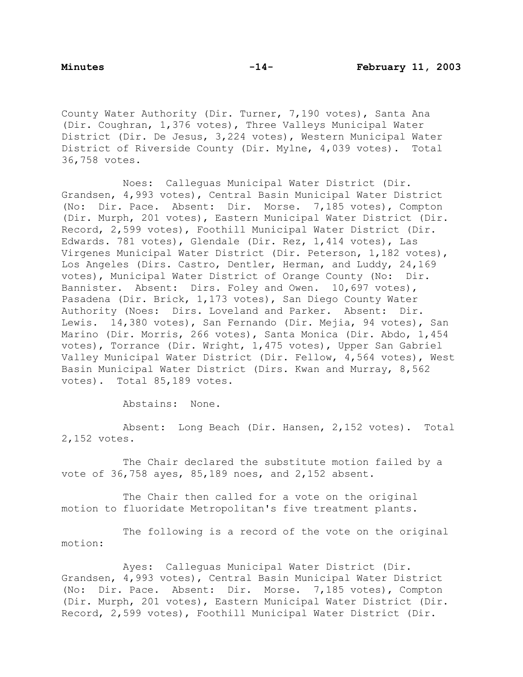County Water Authority (Dir. Turner, 7,190 votes), Santa Ana (Dir. Coughran, 1,376 votes), Three Valleys Municipal Water District (Dir. De Jesus, 3,224 votes), Western Municipal Water District of Riverside County (Dir. Mylne, 4,039 votes). Total 36,758 votes.

 Noes: Calleguas Municipal Water District (Dir. Grandsen, 4,993 votes), Central Basin Municipal Water District (No: Dir. Pace. Absent: Dir. Morse. 7,185 votes), Compton (Dir. Murph, 201 votes), Eastern Municipal Water District (Dir. Record, 2,599 votes), Foothill Municipal Water District (Dir. Edwards. 781 votes), Glendale (Dir. Rez, 1,414 votes), Las Virgenes Municipal Water District (Dir. Peterson, 1,182 votes), Los Angeles (Dirs. Castro, Dentler, Herman, and Luddy, 24,169 votes), Municipal Water District of Orange County (No: Dir. Bannister. Absent: Dirs. Foley and Owen. 10,697 votes), Pasadena (Dir. Brick, 1,173 votes), San Diego County Water Authority (Noes: Dirs. Loveland and Parker. Absent: Dir. Lewis. 14,380 votes), San Fernando (Dir. Mejia, 94 votes), San Marino (Dir. Morris, 266 votes), Santa Monica (Dir. Abdo, 1,454 votes), Torrance (Dir. Wright, 1,475 votes), Upper San Gabriel Valley Municipal Water District (Dir. Fellow, 4,564 votes), West Basin Municipal Water District (Dirs. Kwan and Murray, 8,562 votes). Total 85,189 votes.

Abstains: None.

 Absent: Long Beach (Dir. Hansen, 2,152 votes). Total 2,152 votes.

 The Chair declared the substitute motion failed by a vote of 36,758 ayes, 85,189 noes, and 2,152 absent.

 The Chair then called for a vote on the original motion to fluoridate Metropolitan's five treatment plants.

 The following is a record of the vote on the original motion:

 Ayes: Calleguas Municipal Water District (Dir. Grandsen, 4,993 votes), Central Basin Municipal Water District (No: Dir. Pace. Absent: Dir. Morse. 7,185 votes), Compton (Dir. Murph, 201 votes), Eastern Municipal Water District (Dir. Record, 2,599 votes), Foothill Municipal Water District (Dir.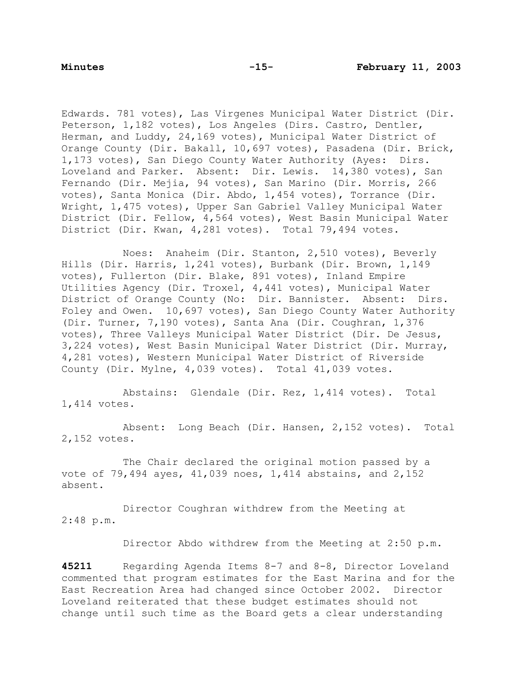Edwards. 781 votes), Las Virgenes Municipal Water District (Dir. Peterson, 1,182 votes), Los Angeles (Dirs. Castro, Dentler, Herman, and Luddy, 24,169 votes), Municipal Water District of Orange County (Dir. Bakall, 10,697 votes), Pasadena (Dir. Brick, 1,173 votes), San Diego County Water Authority (Ayes: Dirs. Loveland and Parker. Absent: Dir. Lewis. 14,380 votes), San Fernando (Dir. Mejia, 94 votes), San Marino (Dir. Morris, 266 votes), Santa Monica (Dir. Abdo, 1,454 votes), Torrance (Dir. Wright, 1,475 votes), Upper San Gabriel Valley Municipal Water District (Dir. Fellow, 4,564 votes), West Basin Municipal Water District (Dir. Kwan, 4,281 votes). Total 79,494 votes.

 Noes: Anaheim (Dir. Stanton, 2,510 votes), Beverly Hills (Dir. Harris, 1,241 votes), Burbank (Dir. Brown, 1,149 votes), Fullerton (Dir. Blake, 891 votes), Inland Empire Utilities Agency (Dir. Troxel, 4,441 votes), Municipal Water District of Orange County (No: Dir. Bannister. Absent: Dirs. Foley and Owen. 10,697 votes), San Diego County Water Authority (Dir. Turner, 7,190 votes), Santa Ana (Dir. Coughran, 1,376 votes), Three Valleys Municipal Water District (Dir. De Jesus, 3,224 votes), West Basin Municipal Water District (Dir. Murray, 4,281 votes), Western Municipal Water District of Riverside County (Dir. Mylne, 4,039 votes). Total 41,039 votes.

 Abstains: Glendale (Dir. Rez, 1,414 votes). Total 1,414 votes.

 Absent: Long Beach (Dir. Hansen, 2,152 votes). Total 2,152 votes.

 The Chair declared the original motion passed by a vote of 79,494 ayes, 41,039 noes, 1,414 abstains, and 2,152 absent.

 Director Coughran withdrew from the Meeting at 2:48 p.m.

Director Abdo withdrew from the Meeting at 2:50 p.m.

**45211** Regarding Agenda Items 8-7 and 8-8, Director Loveland commented that program estimates for the East Marina and for the East Recreation Area had changed since October 2002. Director Loveland reiterated that these budget estimates should not change until such time as the Board gets a clear understanding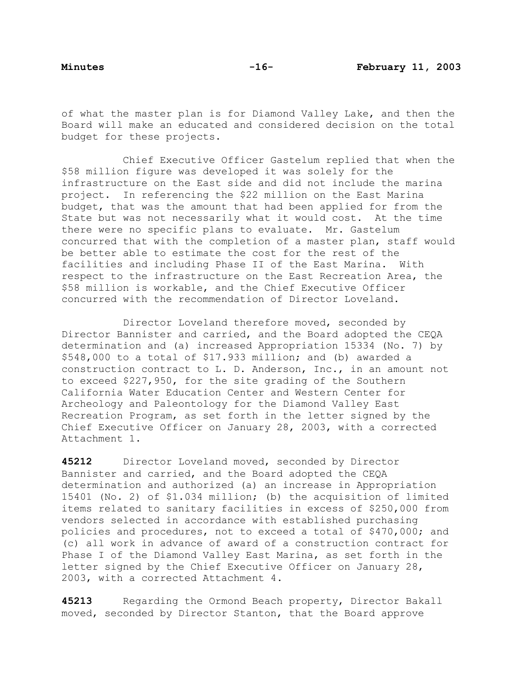of what the master plan is for Diamond Valley Lake, and then the Board will make an educated and considered decision on the total budget for these projects.

 Chief Executive Officer Gastelum replied that when the \$58 million figure was developed it was solely for the infrastructure on the East side and did not include the marina project. In referencing the \$22 million on the East Marina budget, that was the amount that had been applied for from the State but was not necessarily what it would cost. At the time there were no specific plans to evaluate. Mr. Gastelum concurred that with the completion of a master plan, staff would be better able to estimate the cost for the rest of the facilities and including Phase II of the East Marina. With respect to the infrastructure on the East Recreation Area, the \$58 million is workable, and the Chief Executive Officer concurred with the recommendation of Director Loveland.

Director Loveland therefore moved, seconded by Director Bannister and carried, and the Board adopted the CEQA determination and (a) increased Appropriation 15334 (No. 7) by \$548,000 to a total of \$17.933 million; and (b) awarded a construction contract to L. D. Anderson, Inc., in an amount not to exceed \$227,950, for the site grading of the Southern California Water Education Center and Western Center for Archeology and Paleontology for the Diamond Valley East Recreation Program, as set forth in the letter signed by the Chief Executive Officer on January 28, 2003, with a corrected Attachment 1.

**45212** Director Loveland moved, seconded by Director Bannister and carried, and the Board adopted the CEQA determination and authorized (a) an increase in Appropriation 15401 (No. 2) of \$1.034 million; (b) the acquisition of limited items related to sanitary facilities in excess of \$250,000 from vendors selected in accordance with established purchasing policies and procedures, not to exceed a total of \$470,000; and (c) all work in advance of award of a construction contract for Phase I of the Diamond Valley East Marina, as set forth in the letter signed by the Chief Executive Officer on January 28, 2003, with a corrected Attachment 4.

**45213** Regarding the Ormond Beach property, Director Bakall moved, seconded by Director Stanton, that the Board approve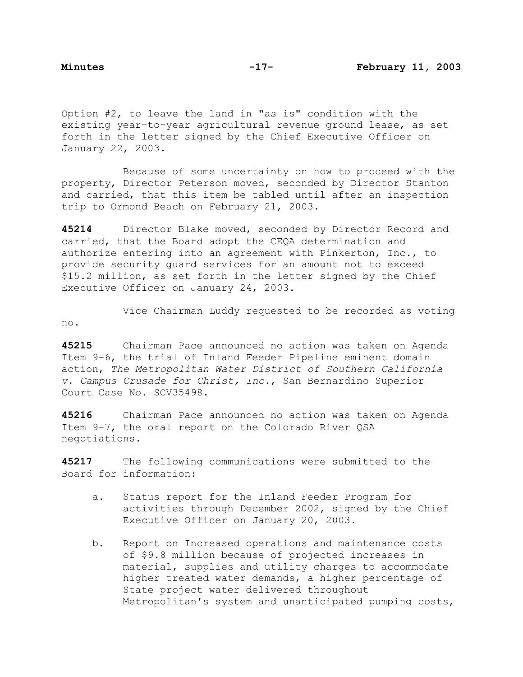Option #2, to leave the land in "as is" condition with the existing year-to-year agricultural revenue ground lease, as set forth in the letter signed by the Chief Executive Officer on January 22, 2003.

 Because of some uncertainty on how to proceed with the property, Director Peterson moved, seconded by Director Stanton and carried, that this item be tabled until after an inspection trip to Ormond Beach on February 21, 2003.

**45214** Director Blake moved, seconded by Director Record and carried, that the Board adopt the CEQA determination and authorize entering into an agreement with Pinkerton, Inc., to provide security guard services for an amount not to exceed \$15.2 million, as set forth in the letter signed by the Chief Executive Officer on January 24, 2003.

no.

Vice Chairman Luddy requested to be recorded as voting

**45215** Chairman Pace announced no action was taken on Agenda Item 9-6, the trial of Inland Feeder Pipeline eminent domain action, *The Metropolitan Water District of Southern California v. Campus Crusade for Christ, Inc.*, San Bernardino Superior Court Case No. SCV35498.

**45216** Chairman Pace announced no action was taken on Agenda Item 9-7, the oral report on the Colorado River QSA negotiations.

**45217** The following communications were submitted to the Board for information:

- a. Status report for the Inland Feeder Program for activities through December 2002, signed by the Chief Executive Officer on January 20, 2003.
- b. Report on Increased operations and maintenance costs of \$9.8 million because of projected increases in material, supplies and utility charges to accommodate higher treated water demands, a higher percentage of State project water delivered throughout Metropolitan's system and unanticipated pumping costs,